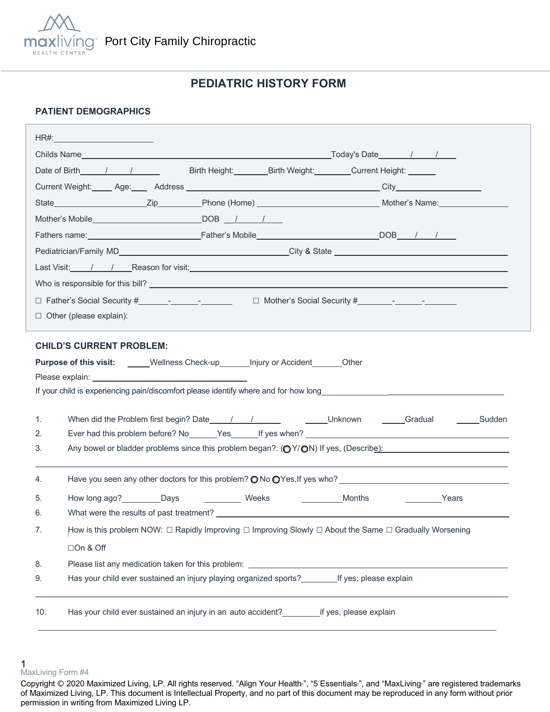

# **PEDIATRIC HISTORY FORM**

### **PATIENT DEMOGRAPHICS**

|                                                                                                                                                                                                                                      | HR#:___________________________                                                                        |  |  |  |
|--------------------------------------------------------------------------------------------------------------------------------------------------------------------------------------------------------------------------------------|--------------------------------------------------------------------------------------------------------|--|--|--|
|                                                                                                                                                                                                                                      |                                                                                                        |  |  |  |
|                                                                                                                                                                                                                                      | Date of Birth 1 1<br>Birth Height: Birth Weight: Current Height: Current Beight:                       |  |  |  |
|                                                                                                                                                                                                                                      |                                                                                                        |  |  |  |
|                                                                                                                                                                                                                                      |                                                                                                        |  |  |  |
|                                                                                                                                                                                                                                      |                                                                                                        |  |  |  |
|                                                                                                                                                                                                                                      |                                                                                                        |  |  |  |
|                                                                                                                                                                                                                                      |                                                                                                        |  |  |  |
| Last Visit: /// Reason for visit: <u>Alexander Control Control Control Control Control Control Control Control Control Control Control Control Control Control Control Control Control Control Control Control Control Control C</u> |                                                                                                        |  |  |  |
|                                                                                                                                                                                                                                      |                                                                                                        |  |  |  |
|                                                                                                                                                                                                                                      |                                                                                                        |  |  |  |
| $\Box$ Other (please explain):                                                                                                                                                                                                       |                                                                                                        |  |  |  |
|                                                                                                                                                                                                                                      |                                                                                                        |  |  |  |
|                                                                                                                                                                                                                                      | <b>CHILD'S CURRENT PROBLEM:</b>                                                                        |  |  |  |
| <b>Purpose of this visit:</b> _____Wellness Check-up_______ Injury or Accident_______Other                                                                                                                                           |                                                                                                        |  |  |  |
|                                                                                                                                                                                                                                      |                                                                                                        |  |  |  |
|                                                                                                                                                                                                                                      |                                                                                                        |  |  |  |
| 1.                                                                                                                                                                                                                                   |                                                                                                        |  |  |  |
| 2.                                                                                                                                                                                                                                   |                                                                                                        |  |  |  |
| 3.                                                                                                                                                                                                                                   | Any bowel or bladder problems since this problem began?: (OY/ON) If yes, (Describe):                   |  |  |  |
|                                                                                                                                                                                                                                      |                                                                                                        |  |  |  |
| 4.                                                                                                                                                                                                                                   | Have you seen any other doctors for this problem? $\bigcirc$ No $\bigcirc$ Yes, If yes who?            |  |  |  |
| 5.                                                                                                                                                                                                                                   | How long ago? Days<br>Weeks<br>Months<br><b>Example 2</b> Years                                        |  |  |  |
| 6.                                                                                                                                                                                                                                   |                                                                                                        |  |  |  |
| 7.                                                                                                                                                                                                                                   | How is this problem NOW: □ Rapidly Improving □ Improving Slowly □ About the Same □ Gradually Worsening |  |  |  |
|                                                                                                                                                                                                                                      | □On & Off                                                                                              |  |  |  |
| 8.                                                                                                                                                                                                                                   |                                                                                                        |  |  |  |
| 9.                                                                                                                                                                                                                                   | Has your child ever sustained an injury playing organized sports? If yes; please explain               |  |  |  |
|                                                                                                                                                                                                                                      |                                                                                                        |  |  |  |
| 10.                                                                                                                                                                                                                                  | Has your child ever sustained an injury in an auto accident? _______________if yes, please explain     |  |  |  |
|                                                                                                                                                                                                                                      |                                                                                                        |  |  |  |

<sup>1</sup>  MaxLiving Form #4

Copyright © 2020 Maximized Living, LP. All rights reserved. "Align Your Health<sup>®</sup>, "5 Essentials<sup>®</sup>, and "MaxLiving<sup>®</sup> are registered trademarks of Maximized Living, LP. This document is Intellectual Property, and no part of this document may be reproduced in any form without prior permission in writing from Maximized Living LP.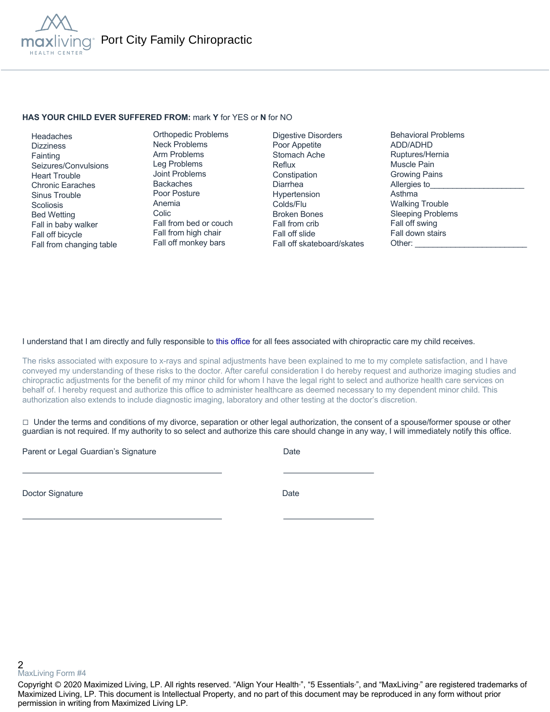

#### **HAS YOUR CHILD EVER SUFFERED FROM:** mark **Y** for YES or **N** for NO

 Headaches **Dizziness Fainting**  Seizures/Convulsions Heart Trouble Chronic Earaches Sinus Trouble **Scoliosis**  Bed Wetting Fall in baby walker Fall off bicycle Fall from changing table

Orthopedic Problems Neck Problems Arm Problems Leg Problems Joint Problems Backaches Poor Posture Anemia Colic Fall from bed or couch Fall from high chair Fall off monkey bars

Digestive Disorders Poor Appetite Stomach Ache Reflux **Constipation** Diarrhea Hypertension Colds/Flu Broken Bones Fall from crib Fall off slide Fall off skateboard/skates Behavioral Problems ADD/ADHD Ruptures/Hernia Muscle Pain Growing Pains Allergies to Asthma Walking Trouble Sleeping Problems Fall off swing Fall down stairs Other:

#### I understand that I am directly and fully responsible to this office for all fees associated with chiropractic care my child receives.

The risks associated with exposure to x-rays and spinal adjustments have been explained to me to my complete satisfaction, and I have conveyed my understanding of these risks to the doctor. After careful consideration I do hereby request and authorize imaging studies and chiropractic adjustments for the benefit of my minor child for whom I have the legal right to select and authorize health care services on behalf of. I hereby request and authorize this office to administer healthcare as deemed necessary to my dependent minor child. This authorization also extends to include diagnostic imaging, laboratory and other testing at the doctor's discretion.

 $\Box$  Under the terms and conditions of my divorce, separation or other legal authorization, the consent of a spouse/former spouse or other guardian is not required. If my authority to so select and authorize this care should change in any way, I will immediately notify this office.

Parent or Legal Guardian's Signature Date Date

Doctor Signature Date

2 MaxLiving Form #4

Copyright © 2020 Maximized Living, LP. All rights reserved. "Align Your Health<sub>"</sub>, "5 Essentials<sub>"</sub>, and "MaxLiving<sub>"</sub> are registered trademarks of Maximized Living, LP. This document is Intellectual Property, and no part of this document may be reproduced in any form without prior permission in writing from Maximized Living LP.